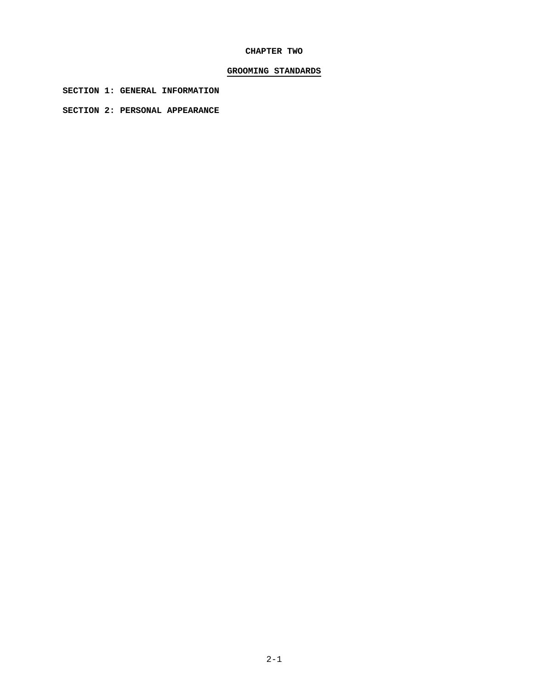# **CHAPTER TWO**

# **GROOMING STANDARDS**

**SECTION 1: GENERAL INFORMATION** 

**SECTION 2: PERSONAL APPEARANCE**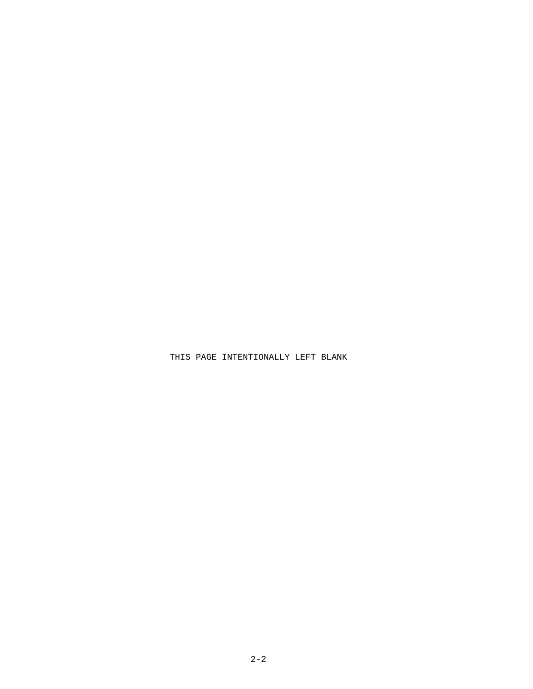THIS PAGE INTENTIONALLY LEFT BLANK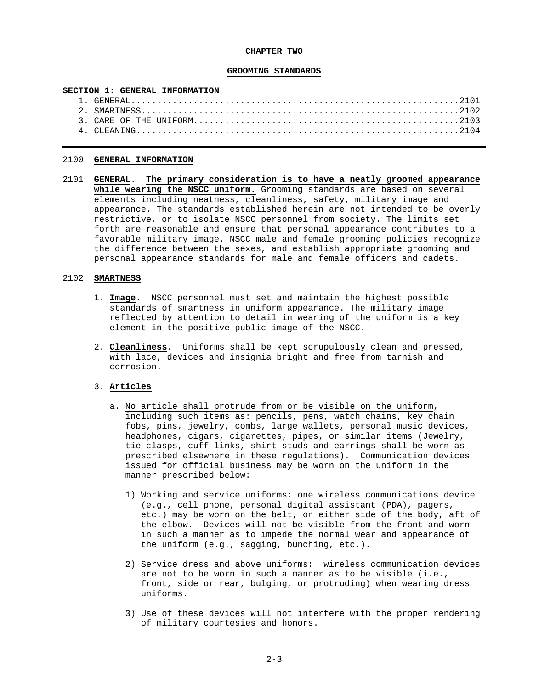#### **CHAPTER TWO**

#### **GROOMING STANDARDS**

### **SECTION 1: GENERAL INFORMATION**

#### 2100 **GENERAL INFORMATION**

| 2101 | GENERAL. The primary consideration is to have a neatly groomed appearance  |
|------|----------------------------------------------------------------------------|
|      | while wearing the NSCC uniform. Grooming standards are based on several    |
|      | elements including neatness, cleanliness, safety, military image and       |
|      | appearance. The standards established herein are not intended to be overly |
|      | restrictive, or to isolate NSCC personnel from society. The limits set     |
|      | forth are reasonable and ensure that personal appearance contributes to a  |
|      | favorable military image. NSCC male and female grooming policies recognize |
|      | the difference between the sexes, and establish appropriate grooming and   |
|      | personal appearance standards for male and female officers and cadets.     |

#### 2102 **SMARTNESS**

- 1. **Image**. NSCC personnel must set and maintain the highest possible standards of smartness in uniform appearance. The military image reflected by attention to detail in wearing of the uniform is a key element in the positive public image of the NSCC.
- 2. **Cleanliness**. Uniforms shall be kept scrupulously clean and pressed, with lace, devices and insignia bright and free from tarnish and corrosion.

## 3. **Articles**

- a. No article shall protrude from or be visible on the uniform, including such items as: pencils, pens, watch chains, key chain fobs, pins, jewelry, combs, large wallets, personal music devices, headphones, cigars, cigarettes, pipes, or similar items (Jewelry, tie clasps, cuff links, shirt studs and earrings shall be worn as prescribed elsewhere in these regulations). Communication devices issued for official business may be worn on the uniform in the manner prescribed below:
	- 1) Working and service uniforms: one wireless communications device (e.g., cell phone, personal digital assistant (PDA), pagers, etc.) may be worn on the belt, on either side of the body, aft of the elbow. Devices will not be visible from the front and worn in such a manner as to impede the normal wear and appearance of the uniform (e.g., sagging, bunching, etc.).
	- 2) Service dress and above uniforms: wireless communication devices are not to be worn in such a manner as to be visible (i.e., front, side or rear, bulging, or protruding) when wearing dress uniforms.
	- 3) Use of these devices will not interfere with the proper rendering of military courtesies and honors.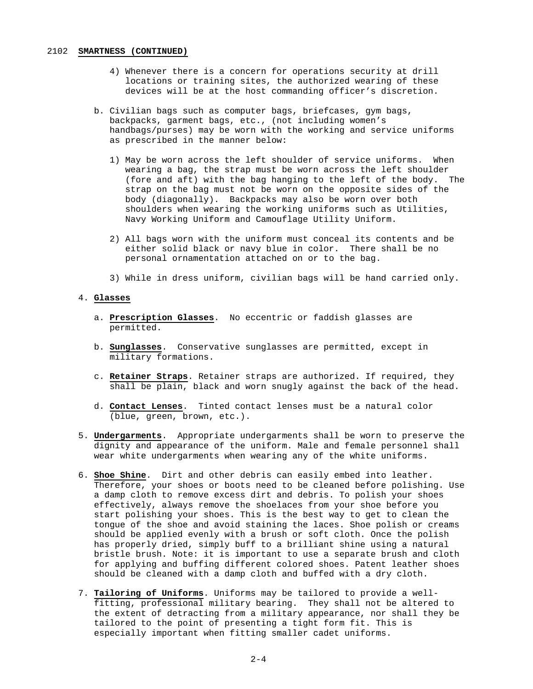- 4) Whenever there is a concern for operations security at drill locations or training sites, the authorized wearing of these devices will be at the host commanding officer's discretion.
- b. Civilian bags such as computer bags, briefcases, gym bags, backpacks, garment bags, etc., (not including women's handbags/purses) may be worn with the working and service uniforms as prescribed in the manner below:
	- 1) May be worn across the left shoulder of service uniforms. When wearing a bag, the strap must be worn across the left shoulder (fore and aft) with the bag hanging to the left of the body. The strap on the bag must not be worn on the opposite sides of the body (diagonally). Backpacks may also be worn over both shoulders when wearing the working uniforms such as Utilities, Navy Working Uniform and Camouflage Utility Uniform.
	- 2) All bags worn with the uniform must conceal its contents and be either solid black or navy blue in color. There shall be no personal ornamentation attached on or to the bag.
	- 3) While in dress uniform, civilian bags will be hand carried only.

#### 4. **Glasses**

- a. **Prescription Glasses**. No eccentric or faddish glasses are permitted.
- b. **Sunglasses**. Conservative sunglasses are permitted, except in military formations.
- c. **Retainer Straps**. Retainer straps are authorized. If required, they shall be plain, black and worn snugly against the back of the head.
- d. **Contact Lenses**. Tinted contact lenses must be a natural color (blue, green, brown, etc.).
- 5. **Undergarments**. Appropriate undergarments shall be worn to preserve the dignity and appearance of the uniform. Male and female personnel shall wear white undergarments when wearing any of the white uniforms.
- 6. **Shoe Shine**. Dirt and other debris can easily embed into leather. Therefore, your shoes or boots need to be cleaned before polishing. Use a damp cloth to remove excess dirt and debris. To polish your shoes effectively, always remove the shoelaces from your shoe before you start polishing your shoes. This is the best way to get to clean the tongue of the shoe and avoid staining the laces. Shoe polish or creams should be applied evenly with a brush or soft cloth. Once the polish has properly dried, simply buff to a brilliant shine using a natural bristle brush. Note: it is important to use a separate brush and cloth for applying and buffing different colored shoes. Patent leather shoes should be cleaned with a damp cloth and buffed with a dry cloth.
- 7. **Tailoring of Uniforms**. Uniforms may be tailored to provide a wellfitting, professional military bearing. They shall not be altered to the extent of detracting from a military appearance, nor shall they be tailored to the point of presenting a tight form fit. This is especially important when fitting smaller cadet uniforms.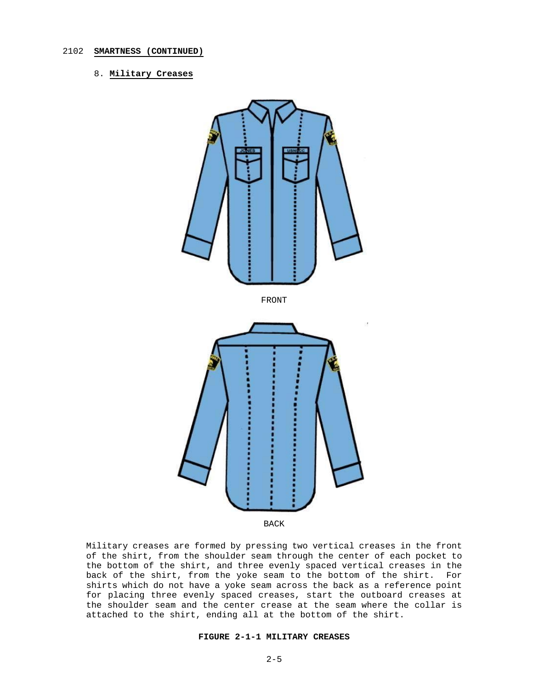### 8. **Military Creases**



BACK

Military creases are formed by pressing two vertical creases in the front of the shirt, from the shoulder seam through the center of each pocket to the bottom of the shirt, and three evenly spaced vertical creases in the back of the shirt, from the yoke seam to the bottom of the shirt. For shirts which do not have a yoke seam across the back as a reference point for placing three evenly spaced creases, start the outboard creases at the shoulder seam and the center crease at the seam where the collar is attached to the shirt, ending all at the bottom of the shirt.

## **FIGURE 2-1-1 MILITARY CREASES**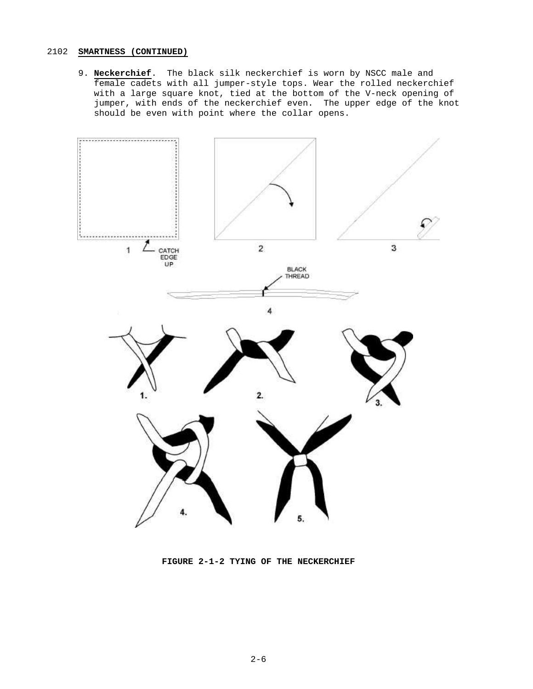9. **Neckerchief**. The black silk neckerchief is worn by NSCC male and female cadets with all jumper-style tops. Wear the rolled neckerchief with a large square knot, tied at the bottom of the V-neck opening of jumper, with ends of the neckerchief even. The upper edge of the knot should be even with point where the collar opens.



**FIGURE 2-1-2 TYING OF THE NECKERCHIEF**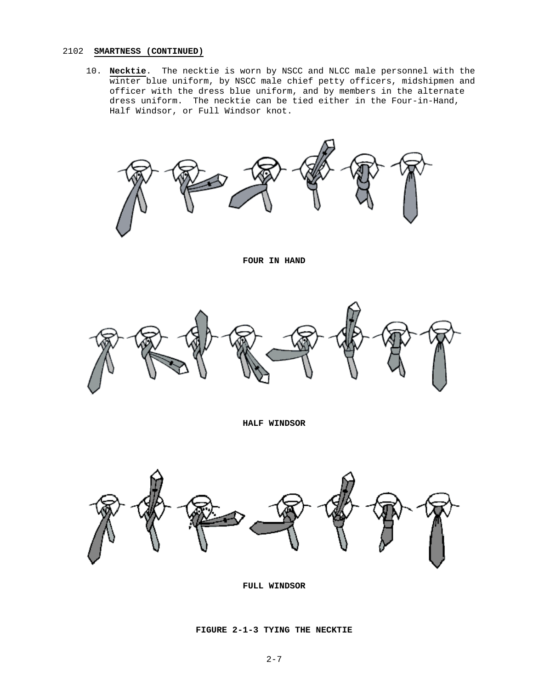10. **Necktie**. The necktie is worn by NSCC and NLCC male personnel with the winter blue uniform, by NSCC male chief petty officers, midshipmen and officer with the dress blue uniform, and by members in the alternate dress uniform. The necktie can be tied either in the Four-in-Hand, Half Windsor, or Full Windsor knot.



**FOUR IN HAND** 



**HALF WINDSOR** 



**FULL WINDSOR** 

### **FIGURE 2-1-3 TYING THE NECKTIE**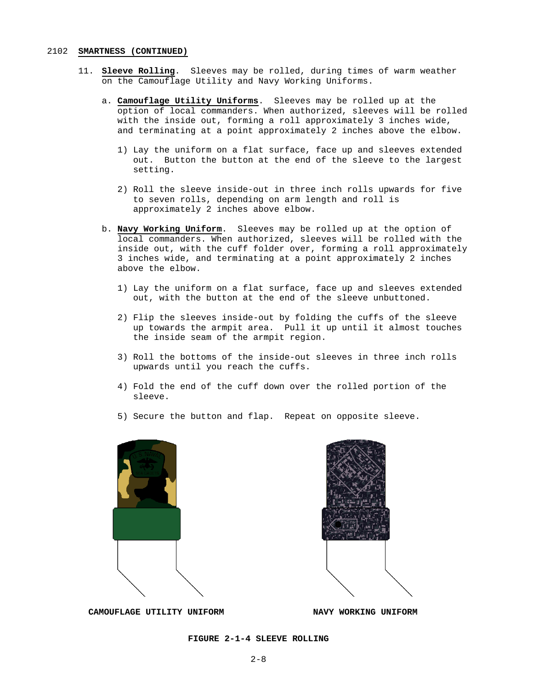- 11. **Sleeve Rolling**. Sleeves may be rolled, during times of warm weather on the Camouflage Utility and Navy Working Uniforms.
	- a. **Camouflage Utility Uniforms**. Sleeves may be rolled up at the option of local commanders. When authorized, sleeves will be rolled with the inside out, forming a roll approximately 3 inches wide, and terminating at a point approximately 2 inches above the elbow.
		- 1) Lay the uniform on a flat surface, face up and sleeves extended out. Button the button at the end of the sleeve to the largest setting.
		- 2) Roll the sleeve inside-out in three inch rolls upwards for five to seven rolls, depending on arm length and roll is approximately 2 inches above elbow.
	- b. **Navy Working Uniform**. Sleeves may be rolled up at the option of local commanders. When authorized, sleeves will be rolled with the inside out, with the cuff folder over, forming a roll approximately 3 inches wide, and terminating at a point approximately 2 inches above the elbow.
		- 1) Lay the uniform on a flat surface, face up and sleeves extended out, with the button at the end of the sleeve unbuttoned.
		- 2) Flip the sleeves inside-out by folding the cuffs of the sleeve up towards the armpit area. Pull it up until it almost touches the inside seam of the armpit region.
		- 3) Roll the bottoms of the inside-out sleeves in three inch rolls upwards until you reach the cuffs.
		- 4) Fold the end of the cuff down over the rolled portion of the sleeve.
		- 5) Secure the button and flap. Repeat on opposite sleeve.



**CAMOUFLAGE UTILITY UNIFORM NAVY WORKING UNIFORM** 

i<br>S

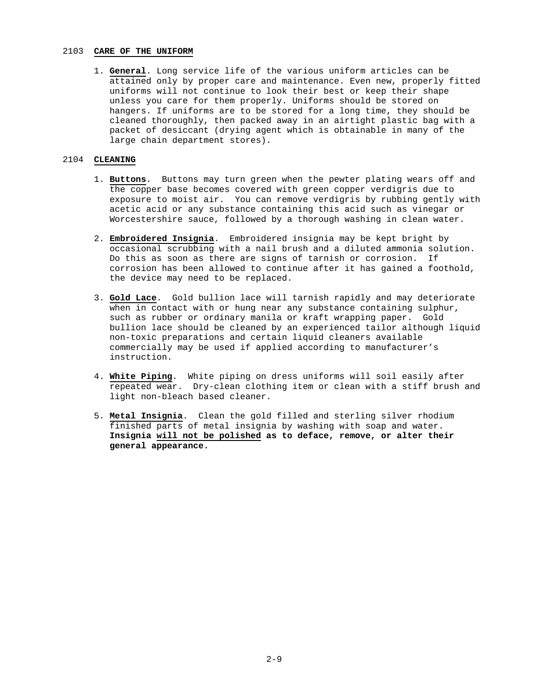### 2103 **CARE OF THE UNIFORM**

1. **General**. Long service life of the various uniform articles can be attained only by proper care and maintenance. Even new, properly fitted uniforms will not continue to look their best or keep their shape unless you care for them properly. Uniforms should be stored on hangers. If uniforms are to be stored for a long time, they should be cleaned thoroughly, then packed away in an airtight plastic bag with a packet of desiccant (drying agent which is obtainable in many of the large chain department stores).

## 2104 **CLEANING**

- 1. **Buttons**. Buttons may turn green when the pewter plating wears off and the copper base becomes covered with green copper verdigris due to exposure to moist air. You can remove verdigris by rubbing gently with acetic acid or any substance containing this acid such as vinegar or Worcestershire sauce, followed by a thorough washing in clean water.
- 2. **Embroidered Insignia**. Embroidered insignia may be kept bright by occasional scrubbing with a nail brush and a diluted ammonia solution. Do this as soon as there are signs of tarnish or corrosion. If corrosion has been allowed to continue after it has gained a foothold, the device may need to be replaced.
- 3. **Gold Lace**. Gold bullion lace will tarnish rapidly and may deteriorate when in contact with or hung near any substance containing sulphur, such as rubber or ordinary manila or kraft wrapping paper. Gold bullion lace should be cleaned by an experienced tailor although liquid non-toxic preparations and certain liquid cleaners available commercially may be used if applied according to manufacturer's instruction.
- 4. **White Piping**. White piping on dress uniforms will soil easily after repeated wear. Dry-clean clothing item or clean with a stiff brush and light non-bleach based cleaner.
- 5. **Metal Insignia**. Clean the gold filled and sterling silver rhodium finished parts of metal insignia by washing with soap and water. **Insignia will not be polished as to deface, remove, or alter their general appearance.**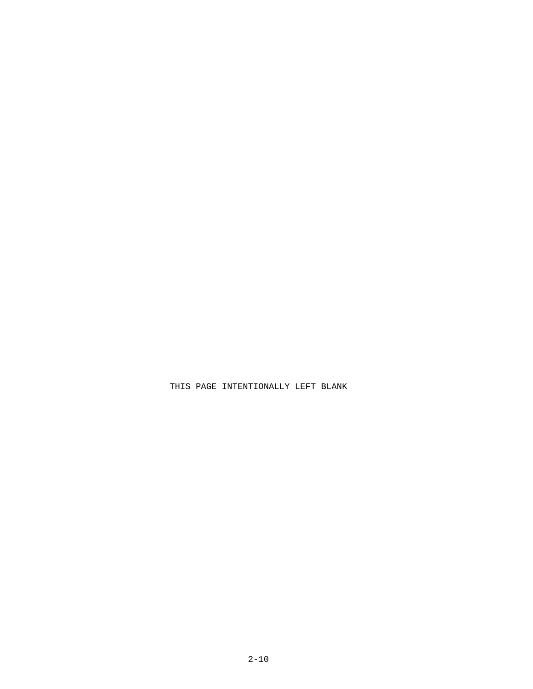THIS PAGE INTENTIONALLY LEFT BLANK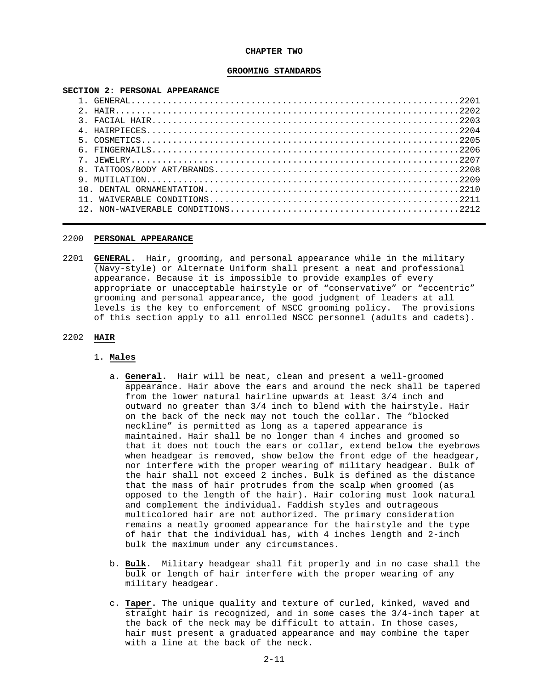#### **CHAPTER TWO**

### **GROOMING STANDARDS**

#### **SECTION 2: PERSONAL APPEARANCE**

#### 2200 **PERSONAL APPEARANCE**

2201 **GENERAL**. Hair, grooming, and personal appearance while in the military (Navy-style) or Alternate Uniform shall present a neat and professional appearance. Because it is impossible to provide examples of every appropriate or unacceptable hairstyle or of "conservative" or "eccentric" grooming and personal appearance, the good judgment of leaders at all levels is the key to enforcement of NSCC grooming policy. The provisions of this section apply to all enrolled NSCC personnel (adults and cadets).

#### 2202 **HAIR**

## 1. **Males**

- a. **General.** Hair will be neat, clean and present a well-groomed appearance. Hair above the ears and around the neck shall be tapered from the lower natural hairline upwards at least 3/4 inch and outward no greater than 3/4 inch to blend with the hairstyle. Hair on the back of the neck may not touch the collar. The "blocked neckline" is permitted as long as a tapered appearance is maintained. Hair shall be no longer than 4 inches and groomed so that it does not touch the ears or collar, extend below the eyebrows when headgear is removed, show below the front edge of the headgear, nor interfere with the proper wearing of military headgear. Bulk of the hair shall not exceed 2 inches. Bulk is defined as the distance that the mass of hair protrudes from the scalp when groomed (as opposed to the length of the hair). Hair coloring must look natural and complement the individual. Faddish styles and outrageous multicolored hair are not authorized. The primary consideration remains a neatly groomed appearance for the hairstyle and the type of hair that the individual has, with 4 inches length and 2-inch bulk the maximum under any circumstances.
- b. **Bulk.** Military headgear shall fit properly and in no case shall the bulk or length of hair interfere with the proper wearing of any military headgear.
- c. **Taper.** The unique quality and texture of curled, kinked, waved and straight hair is recognized, and in some cases the 3/4-inch taper at the back of the neck may be difficult to attain. In those cases, hair must present a graduated appearance and may combine the taper with a line at the back of the neck.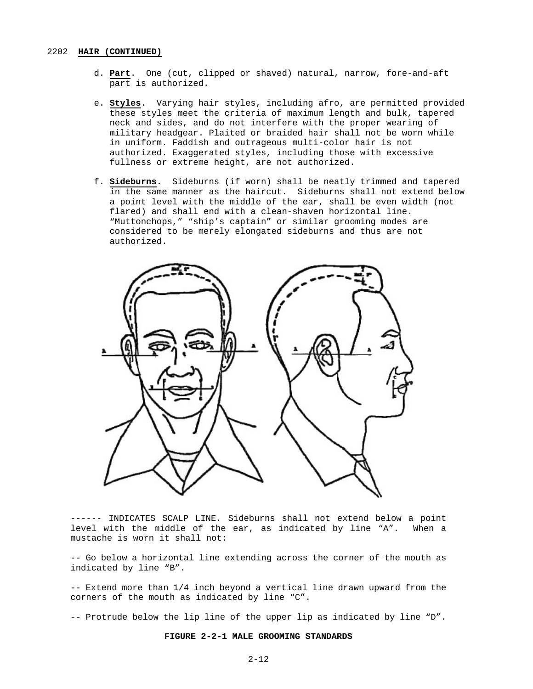- d. **Part**. One (cut, clipped or shaved) natural, narrow, fore-and-aft part is authorized.
- e. **Styles.** Varying hair styles, including afro, are permitted provided these styles meet the criteria of maximum length and bulk, tapered neck and sides, and do not interfere with the proper wearing of military headgear. Plaited or braided hair shall not be worn while in uniform. Faddish and outrageous multi-color hair is not authorized. Exaggerated styles, including those with excessive fullness or extreme height, are not authorized.
- f. **Sideburns.** Sideburns (if worn) shall be neatly trimmed and tapered in the same manner as the haircut. Sideburns shall not extend below a point level with the middle of the ear, shall be even width (not flared) and shall end with a clean-shaven horizontal line. "Muttonchops," "ship's captain" or similar grooming modes are considered to be merely elongated sideburns and thus are not authorized.



------ INDICATES SCALP LINE. Sideburns shall not extend below a point level with the middle of the ear, as indicated by line "A". When a mustache is worn it shall not:

-- Go below a horizontal line extending across the corner of the mouth as indicated by line "B".

-- Extend more than 1/4 inch beyond a vertical line drawn upward from the corners of the mouth as indicated by line "C".

-- Protrude below the lip line of the upper lip as indicated by line "D".

### **FIGURE 2-2-1 MALE GROOMING STANDARDS**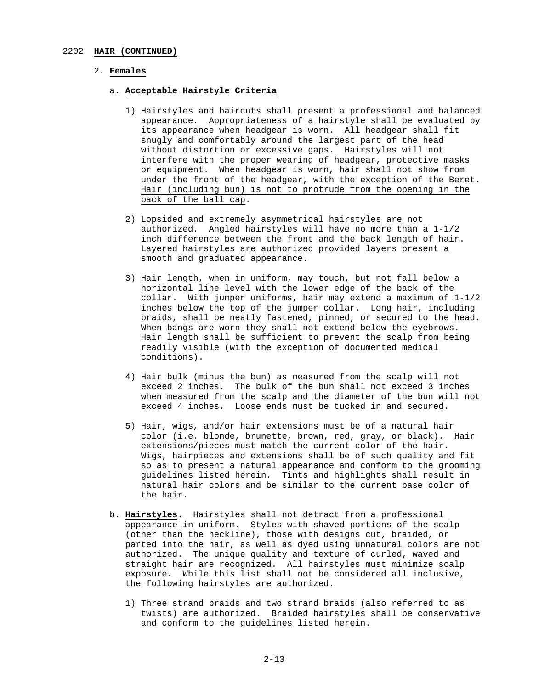## 2. **Females**

## a. **Acceptable Hairstyle Criteria**

- 1) Hairstyles and haircuts shall present a professional and balanced appearance. Appropriateness of a hairstyle shall be evaluated by its appearance when headgear is worn. All headgear shall fit snugly and comfortably around the largest part of the head without distortion or excessive gaps. Hairstyles will not interfere with the proper wearing of headgear, protective masks or equipment. When headgear is worn, hair shall not show from under the front of the headgear, with the exception of the Beret. Hair (including bun) is not to protrude from the opening in the back of the ball cap.
- 2) Lopsided and extremely asymmetrical hairstyles are not authorized. Angled hairstyles will have no more than a 1-1/2 inch difference between the front and the back length of hair. Layered hairstyles are authorized provided layers present a smooth and graduated appearance.
- 3) Hair length, when in uniform, may touch, but not fall below a horizontal line level with the lower edge of the back of the  $collar.$  With jumper uniforms, hair may extend a maximum of  $1-1/2$ inches below the top of the jumper collar. Long hair, including braids, shall be neatly fastened, pinned, or secured to the head. When bangs are worn they shall not extend below the eyebrows. Hair length shall be sufficient to prevent the scalp from being readily visible (with the exception of documented medical conditions).
- 4) Hair bulk (minus the bun) as measured from the scalp will not exceed 2 inches. The bulk of the bun shall not exceed 3 inches when measured from the scalp and the diameter of the bun will not exceed 4 inches. Loose ends must be tucked in and secured.
- 5) Hair, wigs, and/or hair extensions must be of a natural hair color (i.e. blonde, brunette, brown, red, gray, or black). Hair extensions/pieces must match the current color of the hair. Wigs, hairpieces and extensions shall be of such quality and fit so as to present a natural appearance and conform to the grooming guidelines listed herein. Tints and highlights shall result in natural hair colors and be similar to the current base color of the hair.
- b. **Hairstyles**. Hairstyles shall not detract from a professional appearance in uniform. Styles with shaved portions of the scalp (other than the neckline), those with designs cut, braided, or parted into the hair, as well as dyed using unnatural colors are not authorized. The unique quality and texture of curled, waved and straight hair are recognized. All hairstyles must minimize scalp exposure. While this list shall not be considered all inclusive, the following hairstyles are authorized.
	- 1) Three strand braids and two strand braids (also referred to as twists) are authorized. Braided hairstyles shall be conservative and conform to the guidelines listed herein.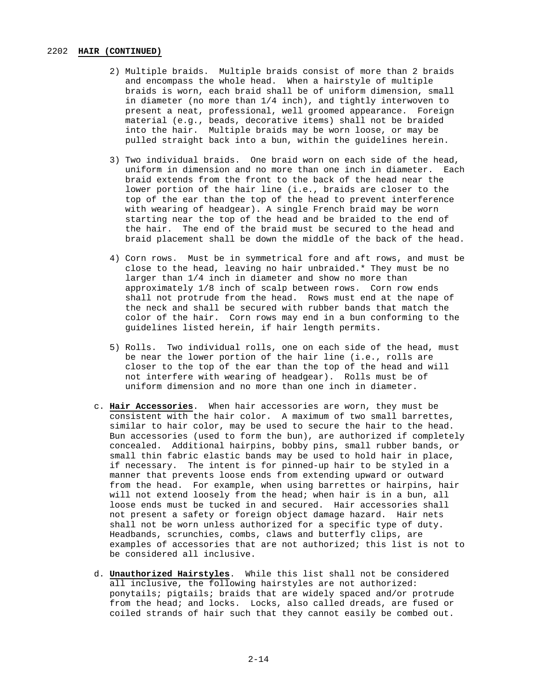- 2) Multiple braids. Multiple braids consist of more than 2 braids and encompass the whole head. When a hairstyle of multiple braids is worn, each braid shall be of uniform dimension, small in diameter (no more than 1/4 inch), and tightly interwoven to present a neat, professional, well groomed appearance. Foreign material (e.g., beads, decorative items) shall not be braided into the hair. Multiple braids may be worn loose, or may be pulled straight back into a bun, within the guidelines herein.
- 3) Two individual braids. One braid worn on each side of the head, uniform in dimension and no more than one inch in diameter. Each braid extends from the front to the back of the head near the lower portion of the hair line (i.e., braids are closer to the top of the ear than the top of the head to prevent interference with wearing of headgear). A single French braid may be worn starting near the top of the head and be braided to the end of the hair. The end of the braid must be secured to the head and braid placement shall be down the middle of the back of the head.
- 4) Corn rows. Must be in symmetrical fore and aft rows, and must be close to the head, leaving no hair unbraided.\* They must be no larger than 1/4 inch in diameter and show no more than approximately 1/8 inch of scalp between rows. Corn row ends shall not protrude from the head. Rows must end at the nape of the neck and shall be secured with rubber bands that match the color of the hair. Corn rows may end in a bun conforming to the guidelines listed herein, if hair length permits.
- 5) Rolls. Two individual rolls, one on each side of the head, must be near the lower portion of the hair line (i.e., rolls are closer to the top of the ear than the top of the head and will not interfere with wearing of headgear). Rolls must be of uniform dimension and no more than one inch in diameter.
- c. **Hair Accessories**. When hair accessories are worn, they must be consistent with the hair color. A maximum of two small barrettes, similar to hair color, may be used to secure the hair to the head. Bun accessories (used to form the bun), are authorized if completely concealed. Additional hairpins, bobby pins, small rubber bands, or small thin fabric elastic bands may be used to hold hair in place, if necessary. The intent is for pinned-up hair to be styled in a manner that prevents loose ends from extending upward or outward from the head. For example, when using barrettes or hairpins, hair will not extend loosely from the head; when hair is in a bun, all loose ends must be tucked in and secured. Hair accessories shall not present a safety or foreign object damage hazard. Hair nets shall not be worn unless authorized for a specific type of duty. Headbands, scrunchies, combs, claws and butterfly clips, are examples of accessories that are not authorized; this list is not to be considered all inclusive.
- d. **Unauthorized Hairstyles**. While this list shall not be considered all inclusive, the following hairstyles are not authorized: ponytails; pigtails; braids that are widely spaced and/or protrude from the head; and locks. Locks, also called dreads, are fused or coiled strands of hair such that they cannot easily be combed out.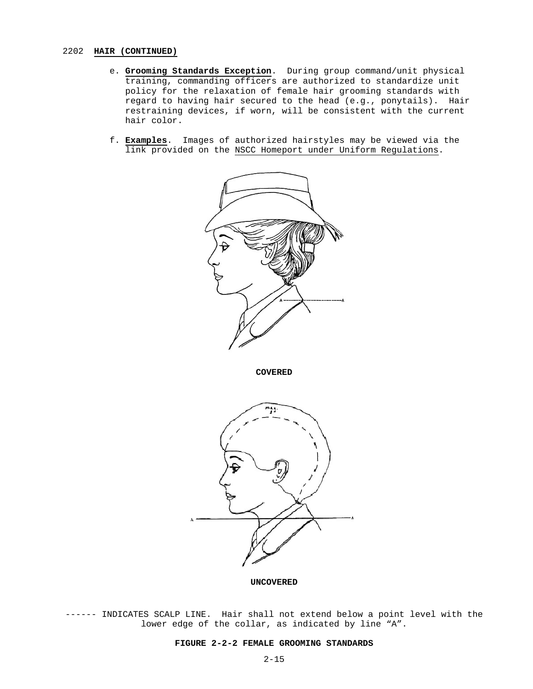- e. **Grooming Standards Exception**. During group command/unit physical training, commanding officers are authorized to standardize unit policy for the relaxation of female hair grooming standards with regard to having hair secured to the head (e.g., ponytails). Hair restraining devices, if worn, will be consistent with the current hair color.
- f. **Examples**. Images of authorized hairstyles may be viewed via the link provided on the NSCC Homeport under Uniform Regulations.



**COVERED**



**UNCOVERED** 

------ INDICATES SCALP LINE. Hair shall not extend below a point level with the lower edge of the collar, as indicated by line "A".

#### **FIGURE 2-2-2 FEMALE GROOMING STANDARDS**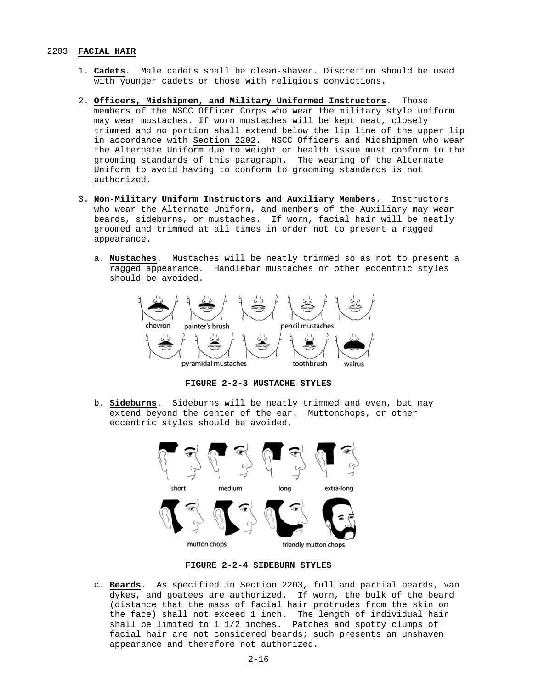### 2203 **FACIAL HAIR**

- 1. **Cadets**. Male cadets shall be clean-shaven. Discretion should be used with younger cadets or those with religious convictions.
- 2. **Officers, Midshipmen, and Military Uniformed Instructors**. Those members of the NSCC Officer Corps who wear the military style uniform may wear mustaches. If worn mustaches will be kept neat, closely trimmed and no portion shall extend below the lip line of the upper lip in accordance with Section 2202. NSCC Officers and Midshipmen who wear the Alternate Uniform due to weight or health issue must conform to the grooming standards of this paragraph. The wearing of the Alternate Uniform to avoid having to conform to grooming standards is not authorized.
- 3. **Non-Military Uniform Instructors and Auxiliary Members**. Instructors who wear the Alternate Uniform, and members of the Auxiliary may wear beards, sideburns, or mustaches. If worn, facial hair will be neatly groomed and trimmed at all times in order not to present a ragged appearance.
	- a. **Mustaches**. Mustaches will be neatly trimmed so as not to present a ragged appearance. Handlebar mustaches or other eccentric styles should be avoided.



**FIGURE 2-2-3 MUSTACHE STYLES** 

b. **Sideburns**. Sideburns will be neatly trimmed and even, but may extend beyond the center of the ear. Muttonchops, or other eccentric styles should be avoided.



**FIGURE 2-2-4 SIDEBURN STYLES** 

c. **Beards**. As specified in Section 2203, full and partial beards, van dykes, and goatees are authorized. If worn, the bulk of the beard (distance that the mass of facial hair protrudes from the skin on the face) shall not exceed 1 inch. The length of individual hair shall be limited to 1 1/2 inches. Patches and spotty clumps of facial hair are not considered beards; such presents an unshaven appearance and therefore not authorized.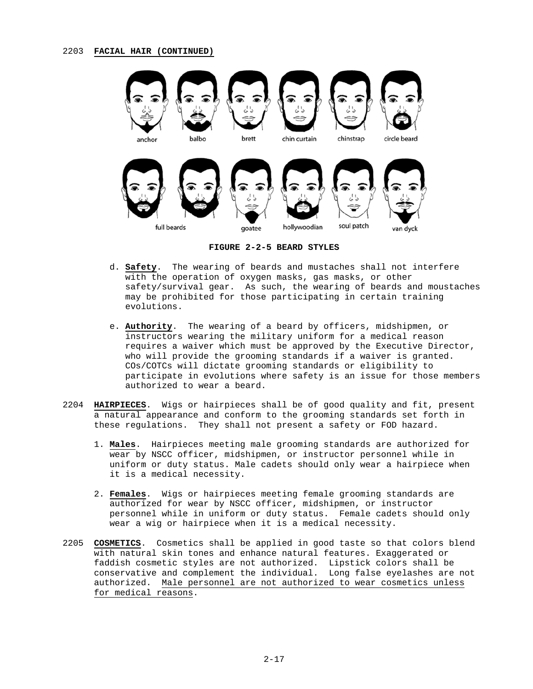### 2203 **FACIAL HAIR (CONTINUED)**



**FIGURE 2-2-5 BEARD STYLES** 

- d. **Safety**. The wearing of beards and mustaches shall not interfere with the operation of oxygen masks, gas masks, or other safety/survival gear. As such, the wearing of beards and moustaches may be prohibited for those participating in certain training evolutions.
- e. **Authority**. The wearing of a beard by officers, midshipmen, or instructors wearing the military uniform for a medical reason requires a waiver which must be approved by the Executive Director, who will provide the grooming standards if a waiver is granted. COs/COTCs will dictate grooming standards or eligibility to participate in evolutions where safety is an issue for those members authorized to wear a beard.
- 2204 **HAIRPIECES**. Wigs or hairpieces shall be of good quality and fit, present a natural appearance and conform to the grooming standards set forth in these regulations. They shall not present a safety or FOD hazard.
	- 1. **Males**. Hairpieces meeting male grooming standards are authorized for wear by NSCC officer, midshipmen, or instructor personnel while in uniform or duty status. Male cadets should only wear a hairpiece when it is a medical necessity.
	- 2. **Females**. Wigs or hairpieces meeting female grooming standards are authorized for wear by NSCC officer, midshipmen, or instructor personnel while in uniform or duty status. Female cadets should only wear a wig or hairpiece when it is a medical necessity.
- 2205 **COSMETICS**. Cosmetics shall be applied in good taste so that colors blend with natural skin tones and enhance natural features. Exaggerated or faddish cosmetic styles are not authorized. Lipstick colors shall be conservative and complement the individual. Long false eyelashes are not authorized. Male personnel are not authorized to wear cosmetics unless for medical reasons.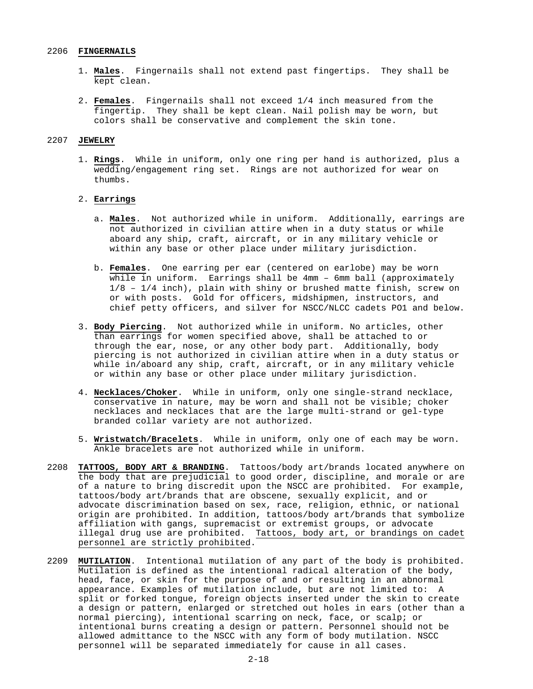## 2206 **FINGERNAILS**

- 1. **Males**. Fingernails shall not extend past fingertips. They shall be kept clean.
- 2. **Females**. Fingernails shall not exceed 1/4 inch measured from the fingertip. They shall be kept clean. Nail polish may be worn, but colors shall be conservative and complement the skin tone.

### 2207 **JEWELRY**

1. **Rings**. While in uniform, only one ring per hand is authorized, plus a wedding/engagement ring set. Rings are not authorized for wear on thumbs.

### 2. **Earrings**

- a. **Males**. Not authorized while in uniform. Additionally, earrings are not authorized in civilian attire when in a duty status or while aboard any ship, craft, aircraft, or in any military vehicle or within any base or other place under military jurisdiction.
- b. **Females**. One earring per ear (centered on earlobe) may be worn while in uniform. Earrings shall be 4mm – 6mm ball (approximately 1/8 – 1/4 inch), plain with shiny or brushed matte finish, screw on or with posts. Gold for officers, midshipmen, instructors, and chief petty officers, and silver for NSCC/NLCC cadets PO1 and below.
- 3. **Body Piercing**. Not authorized while in uniform. No articles, other than earrings for women specified above, shall be attached to or through the ear, nose, or any other body part. Additionally, body piercing is not authorized in civilian attire when in a duty status or while in/aboard any ship, craft, aircraft, or in any military vehicle or within any base or other place under military jurisdiction.
- 4. **Necklaces/Choker**. While in uniform, only one single-strand necklace, conservative in nature, may be worn and shall not be visible; choker necklaces and necklaces that are the large multi-strand or gel-type branded collar variety are not authorized.
- 5. **Wristwatch/Bracelets**. While in uniform, only one of each may be worn. Ankle bracelets are not authorized while in uniform.
- 2208 **TATTOOS, BODY ART & BRANDING**. Tattoos/body art/brands located anywhere on the body that are prejudicial to good order, discipline, and morale or are of a nature to bring discredit upon the NSCC are prohibited. For example, tattoos/body art/brands that are obscene, sexually explicit, and or advocate discrimination based on sex, race, religion, ethnic, or national origin are prohibited. In addition, tattoos/body art/brands that symbolize affiliation with gangs, supremacist or extremist groups, or advocate illegal drug use are prohibited. Tattoos, body art, or brandings on cadet personnel are strictly prohibited.
- 2209 **MUTILATION**. Intentional mutilation of any part of the body is prohibited. Mutilation is defined as the intentional radical alteration of the body, head, face, or skin for the purpose of and or resulting in an abnormal appearance. Examples of mutilation include, but are not limited to: A split or forked tongue, foreign objects inserted under the skin to create a design or pattern, enlarged or stretched out holes in ears (other than a normal piercing), intentional scarring on neck, face, or scalp; or intentional burns creating a design or pattern. Personnel should not be allowed admittance to the NSCC with any form of body mutilation. NSCC personnel will be separated immediately for cause in all cases.